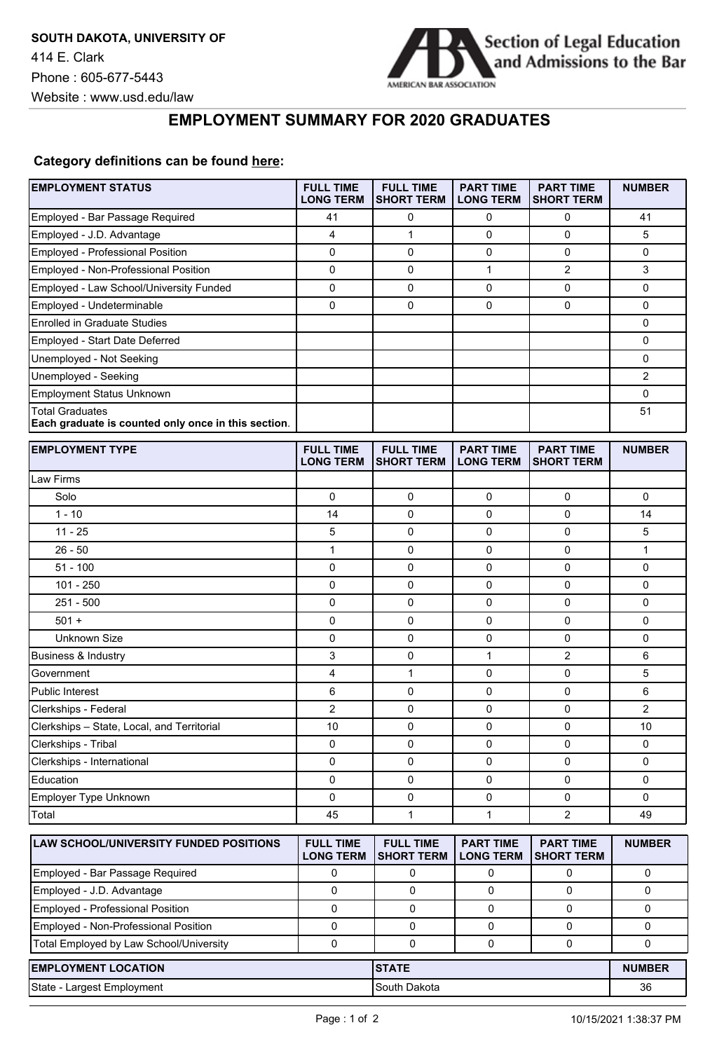

## **EMPLOYMENT SUMMARY FOR 2020 GRADUATES**

## **Category definitions can be found [here:](https://www.americanbar.org/content/dam/aba/administrative/legal_education_and_admissions_to_the_bar/Questionnaires/employment-protocol-class-of-2020.pdf)**

| <b>EMPLOYMENT STATUS</b>                                                      | <b>FULL TIME</b><br><b>LONG TERM</b> | <b>FULL TIME</b><br><b>SHORT TERM</b> | <b>PART TIME</b><br><b>LONG TERM</b> | <b>PART TIME</b><br><b>SHORT TERM</b> | <b>NUMBER</b>  |
|-------------------------------------------------------------------------------|--------------------------------------|---------------------------------------|--------------------------------------|---------------------------------------|----------------|
| Employed - Bar Passage Required                                               | 41                                   | 0                                     | $\mathbf 0$                          | 0                                     | 41             |
| Employed - J.D. Advantage                                                     | 4                                    | $\mathbf{1}$                          | 0                                    | 0                                     | 5              |
| Employed - Professional Position                                              | 0                                    | 0                                     | $\mathbf 0$                          | 0                                     | 0              |
| Employed - Non-Professional Position                                          | $\mathbf 0$                          | 0                                     | $\mathbf{1}$                         | $\overline{c}$                        | 3              |
| Employed - Law School/University Funded                                       | 0                                    | 0                                     | 0                                    | 0                                     | 0              |
| Employed - Undeterminable                                                     | 0                                    | 0                                     | 0                                    | 0                                     | 0              |
| <b>Enrolled in Graduate Studies</b>                                           |                                      |                                       |                                      |                                       | 0              |
| Employed - Start Date Deferred                                                |                                      |                                       |                                      |                                       | 0              |
| Unemployed - Not Seeking                                                      |                                      |                                       |                                      |                                       | 0              |
| Unemployed - Seeking                                                          |                                      |                                       |                                      |                                       | $\overline{2}$ |
| <b>Employment Status Unknown</b>                                              |                                      |                                       |                                      |                                       | 0              |
| <b>Total Graduates</b><br>Each graduate is counted only once in this section. |                                      |                                       |                                      |                                       | 51             |
| <b>EMPLOYMENT TYPE</b>                                                        | <b>FULL TIME</b><br><b>LONG TERM</b> | <b>FULL TIME</b><br><b>SHORT TERM</b> | <b>PART TIME</b><br><b>LONG TERM</b> | <b>PART TIME</b><br><b>SHORT TERM</b> | <b>NUMBER</b>  |
| Law Firms                                                                     |                                      |                                       |                                      |                                       |                |
| Solo                                                                          | $\mathbf 0$                          | 0                                     | $\mathbf 0$                          | 0                                     | 0              |
| $1 - 10$                                                                      | 14                                   | 0                                     | 0                                    | 0                                     | 14             |
| $11 - 25$                                                                     | 5                                    | 0                                     | 0                                    | 0                                     | 5              |
| $26 - 50$                                                                     | 1                                    | 0                                     | 0                                    | 0                                     | 1              |
| $51 - 100$                                                                    | $\mathbf 0$                          | 0                                     | $\mathbf 0$                          | 0                                     | 0              |
| $101 - 250$                                                                   | 0                                    | 0                                     | 0                                    | 0                                     | 0              |
| $251 - 500$                                                                   | 0                                    | 0                                     | $\mathbf 0$                          | 0                                     | 0              |
| $501 +$                                                                       | 0                                    | 0                                     | $\mathbf 0$                          | 0                                     | 0              |
| Unknown Size                                                                  | 0                                    | 0                                     | 0                                    | 0                                     | 0              |
| <b>Business &amp; Industry</b>                                                | 3                                    | 0                                     | $\mathbf{1}$                         | $\overline{2}$                        | 6              |
| Government                                                                    | 4                                    | $\mathbf{1}$                          | 0                                    | 0                                     | 5              |
| <b>Public Interest</b>                                                        | 6                                    | 0                                     | 0                                    | 0                                     | 6              |
| Clerkships - Federal                                                          | 2                                    | 0                                     | 0                                    | 0                                     | $\overline{2}$ |
| Clerkships - State, Local, and Territorial                                    | 10                                   | 0                                     | $\mathbf 0$                          | 0                                     | 10             |
| Clerkships - Tribal                                                           | 0                                    | 0                                     | 0                                    | 0                                     | 0              |
| Clerkships - International                                                    | 0                                    | 0                                     | 0                                    | 0                                     | 0              |
| Education                                                                     | 0                                    | $\mathsf 0$                           | 0                                    | 0                                     | 0              |
| Employer Type Unknown                                                         | 0                                    | 0                                     | 0                                    | 0                                     | 0              |
| Total                                                                         | 45                                   | 1                                     | 1                                    | $\overline{c}$                        | 49             |
| LAW SCHOOL/UNIVERSITY FUNDED POSITIONS                                        | <b>FULL TIME</b><br><b>LONG TERM</b> | <b>FULL TIME</b><br><b>SHORT TERM</b> | <b>PART TIME</b><br><b>LONG TERM</b> | <b>PART TIME</b><br><b>SHORT TERM</b> | <b>NUMBER</b>  |
| Employed - Bar Passage Required                                               | 0                                    | 0                                     | 0                                    | 0                                     | 0              |
| Employed - J.D. Advantage                                                     | 0                                    | 0                                     | $\mathbf 0$                          | 0                                     | 0              |
| <b>Employed - Professional Position</b>                                       | 0                                    | 0                                     | 0                                    | 0                                     | 0              |
| Employed - Non-Professional Position                                          | 0                                    | 0                                     | 0                                    | 0                                     | 0              |
| Total Employed by Law School/University                                       | 0                                    | 0                                     | 0                                    | 0                                     | 0              |
| <b>EMPLOYMENT LOCATION</b>                                                    |                                      | <b>STATE</b>                          |                                      |                                       | <b>NUMBER</b>  |
| State - Largest Employment                                                    |                                      | South Dakota                          |                                      |                                       | 36             |
|                                                                               |                                      |                                       |                                      |                                       |                |